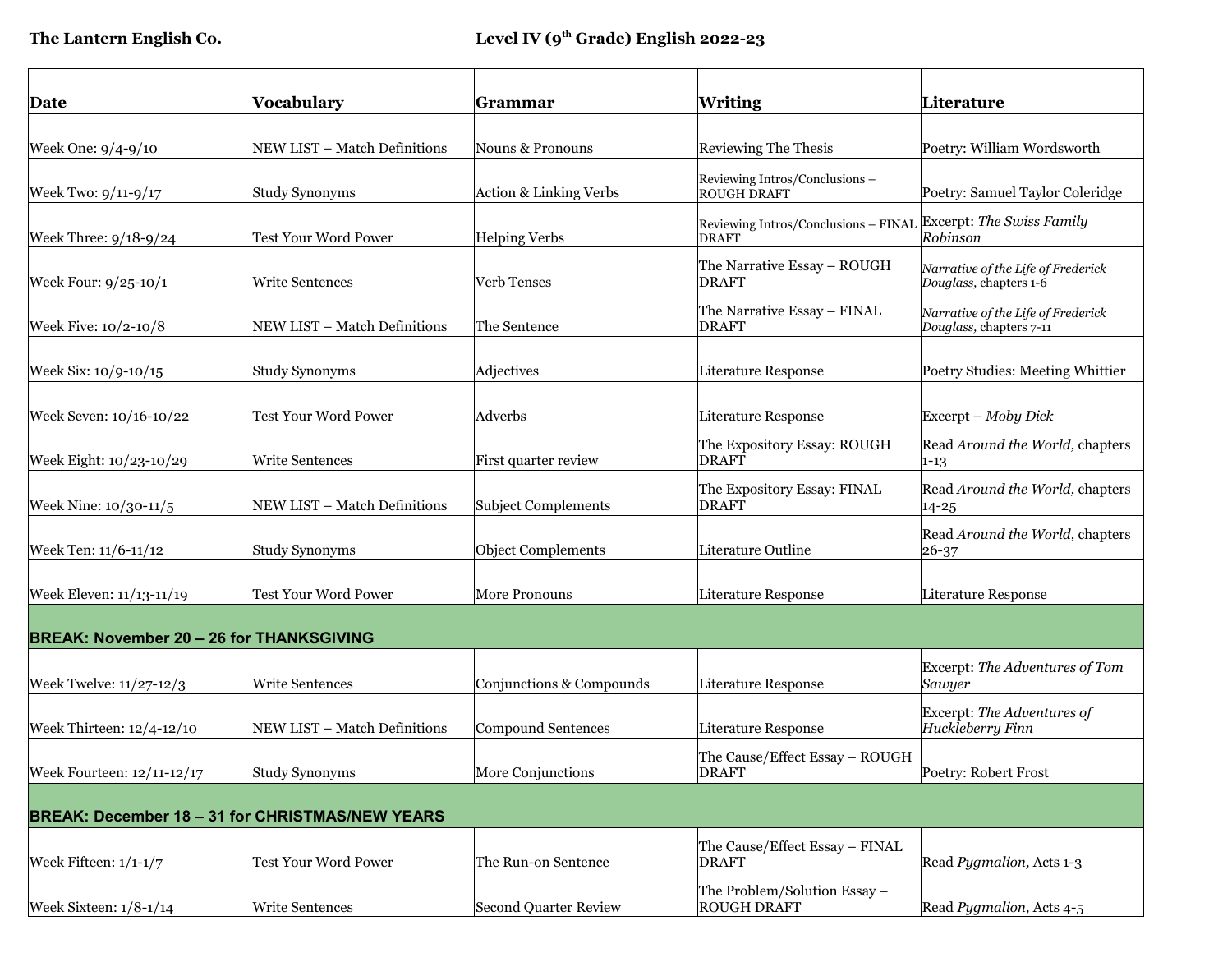| Date                                            | Vocabulary                                             | Grammar                    | <b>Writing</b>                                                                 | Literature                                                    |  |  |
|-------------------------------------------------|--------------------------------------------------------|----------------------------|--------------------------------------------------------------------------------|---------------------------------------------------------------|--|--|
| Week One: 9/4-9/10                              | NEW LIST - Match Definitions                           | Nouns & Pronouns           | <b>Reviewing The Thesis</b>                                                    | Poetry: William Wordsworth                                    |  |  |
| Week Two: 9/11-9/17                             | <b>Study Synonyms</b>                                  | Action & Linking Verbs     | Reviewing Intros/Conclusions -<br><b>ROUGH DRAFT</b>                           | Poetry: Samuel Taylor Coleridge                               |  |  |
| Week Three: 9/18-9/24                           | <b>Test Your Word Power</b>                            | <b>Helping Verbs</b>       | Reviewing Intros/Conclusions - FINAL Excerpt: The Swiss Family<br><b>DRAFT</b> | Robinson                                                      |  |  |
| Week Four: 9/25-10/1                            | <b>Write Sentences</b>                                 | Verb Tenses                | The Narrative Essay - ROUGH<br><b>DRAFT</b>                                    | Narrative of the Life of Frederick<br>Douglass, chapters 1-6  |  |  |
| Week Five: 10/2-10/8                            | NEW LIST - Match Definitions                           | The Sentence               | The Narrative Essay - FINAL<br><b>DRAFT</b>                                    | Narrative of the Life of Frederick<br>Douglass, chapters 7-11 |  |  |
| Week Six: 10/9-10/15                            | <b>Study Synonyms</b>                                  | Adjectives                 | <b>Literature Response</b>                                                     | Poetry Studies: Meeting Whittier                              |  |  |
| Week Seven: 10/16-10/22                         | <b>Test Your Word Power</b>                            | Adverbs                    | <b>Literature Response</b>                                                     | Excerpt - Moby Dick                                           |  |  |
| Week Eight: 10/23-10/29                         | <b>Write Sentences</b>                                 | First quarter review       | The Expository Essay: ROUGH<br><b>DRAFT</b>                                    | Read Around the World, chapters<br>$1 - 13$                   |  |  |
| Week Nine: 10/30-11/5                           | NEW LIST - Match Definitions                           | <b>Subject Complements</b> | The Expository Essay: FINAL<br>DRAFT                                           | Read Around the World, chapters<br>14-25                      |  |  |
| Week Ten: 11/6-11/12                            | <b>Study Synonyms</b>                                  | Object Complements         | Literature Outline                                                             | Read Around the World, chapters<br>26-37                      |  |  |
| Week Eleven: 11/13-11/19                        | Test Your Word Power                                   | More Pronouns              | <b>Literature Response</b>                                                     | Literature Response                                           |  |  |
| <b>BREAK: November 20 - 26 for THANKSGIVING</b> |                                                        |                            |                                                                                |                                                               |  |  |
| Week Twelve: 11/27-12/3                         | Write Sentences                                        | Conjunctions & Compounds   | <b>Literature Response</b>                                                     | Excerpt: The Adventures of Tom<br>Sawyer                      |  |  |
| Week Thirteen: 12/4-12/10                       | NEW LIST - Match Definitions                           | <b>Compound Sentences</b>  | Literature Response                                                            | Excerpt: The Adventures of<br>Huckleberry Finn                |  |  |
| Week Fourteen: 12/11-12/17                      | Study Synonyms                                         | More Conjunctions          | The Cause/Effect Essay - ROUGH<br><b>DRAFT</b>                                 | Poetry: Robert Frost                                          |  |  |
|                                                 | <b>BREAK: December 18 - 31 for CHRISTMAS/NEW YEARS</b> |                            |                                                                                |                                                               |  |  |
| Week Fifteen: $1/1-1/7$                         | Test Your Word Power                                   | The Run-on Sentence        | The Cause/Effect Essay - FINAL<br><b>DRAFT</b>                                 | Read Pygmalion, Acts 1-3                                      |  |  |
| Week Sixteen: $1/8-1/14$                        | <b>Write Sentences</b>                                 | Second Quarter Review      | The Problem/Solution Essay -<br><b>ROUGH DRAFT</b>                             | Read Pygmalion, Acts 4-5                                      |  |  |